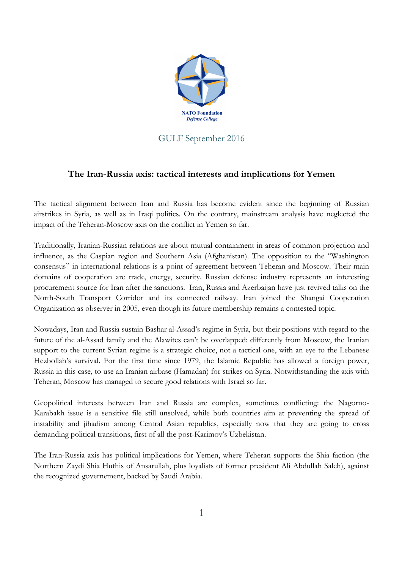

## GULF September 2016

## **The Iran-Russia axis: tactical interests and implications for Yemen**

The tactical alignment between Iran and Russia has become evident since the beginning of Russian airstrikes in Syria, as well as in Iraqi politics. On the contrary, mainstream analysis have neglected the impact of the Teheran-Moscow axis on the conflict in Yemen so far.

Traditionally, Iranian-Russian relations are about mutual containment in areas of common projection and influence, as the Caspian region and Southern Asia (Afghanistan). The opposition to the "Washington consensus" in international relations is a point of agreement between Teheran and Moscow. Their main domains of cooperation are trade, energy, security. Russian defense industry represents an interesting procurement source for Iran after the sanctions. Iran, Russia and Azerbaijan have just revived talks on the North-South Transport Corridor and its connected railway. Iran joined the Shangai Cooperation Organization as observer in 2005, even though its future membership remains a contested topic.

Nowadays, Iran and Russia sustain Bashar al-Assad's regime in Syria, but their positions with regard to the future of the al-Assad family and the Alawites can't be overlapped: differently from Moscow, the Iranian support to the current Syrian regime is a strategic choice, not a tactical one, with an eye to the Lebanese Hezbollah's survival. For the first time since 1979, the Islamic Republic has allowed a foreign power, Russia in this case, to use an Iranian airbase (Hamadan) for strikes on Syria. Notwithstanding the axis with Teheran, Moscow has managed to secure good relations with Israel so far.

Geopolitical interests between Iran and Russia are complex, sometimes conflicting: the Nagorno-Karabakh issue is a sensitive file still unsolved, while both countries aim at preventing the spread of instability and jihadism among Central Asian republics, especially now that they are going to cross demanding political transitions, first of all the post-Karimov's Uzbekistan.

The Iran-Russia axis has political implications for Yemen, where Teheran supports the Shia faction (the Northern Zaydi Shia Huthis of Ansarullah, plus loyalists of former president Ali Abdullah Saleh), against the recognized governement, backed by Saudi Arabia.